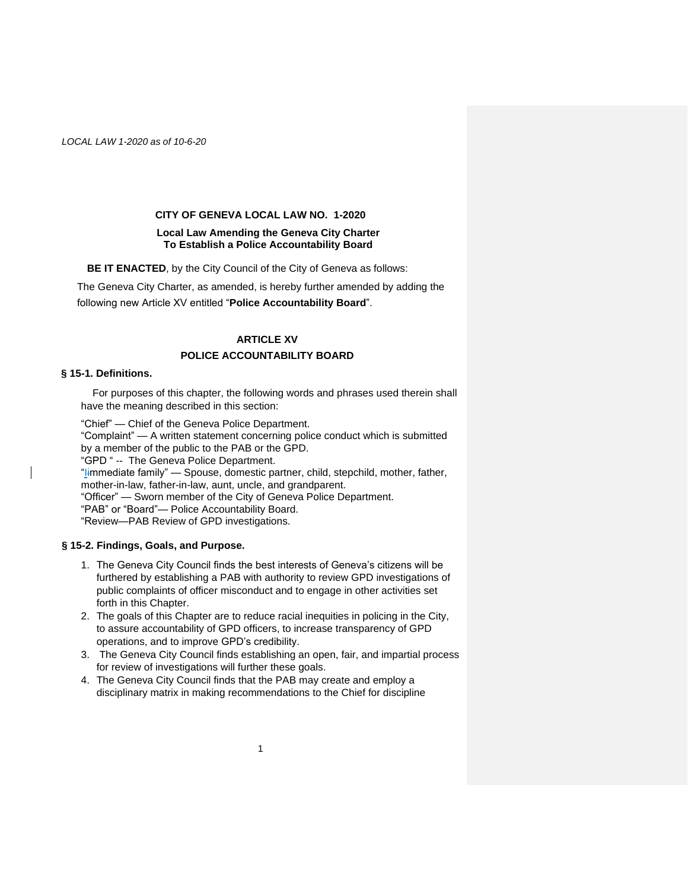#### **CITY OF GENEVA LOCAL LAW NO. 1-2020**

## **Local Law Amending the Geneva City Charter To Establish a Police Accountability Board**

**BE IT ENACTED**, by the City Council of the City of Geneva as follows:

The Geneva City Charter, as amended, is hereby further amended by adding the following new Article XV entitled "**Police Accountability Board**".

# **ARTICLE XV POLICE ACCOUNTABILITY BOARD**

## **§ 15-1. Definitions.**

For purposes of this chapter, the following words and phrases used therein shall have the meaning described in this section:

"Chief" — Chief of the Geneva Police Department.

"Complaint" — A written statement concerning police conduct which is submitted by a member of the public to the PAB or the GPD.

"GPD " -- The Geneva Police Department.

"limmediate family" — Spouse, domestic partner, child, stepchild, mother, father, mother-in-law, father-in-law, aunt, uncle, and grandparent.

"Officer" — Sworn member of the City of Geneva Police Department.

"PAB" or "Board"— Police Accountability Board.

"Review—PAB Review of GPD investigations.

# **§ 15-2. Findings, Goals, and Purpose.**

- 1. The Geneva City Council finds the best interests of Geneva's citizens will be furthered by establishing a PAB with authority to review GPD investigations of public complaints of officer misconduct and to engage in other activities set forth in this Chapter.
- 2. The goals of this Chapter are to reduce racial inequities in policing in the City, to assure accountability of GPD officers, to increase transparency of GPD operations, and to improve GPD's credibility.
- 3. The Geneva City Council finds establishing an open, fair, and impartial process for review of investigations will further these goals.
- 4. The Geneva City Council finds that the PAB may create and employ a disciplinary matrix in making recommendations to the Chief for discipline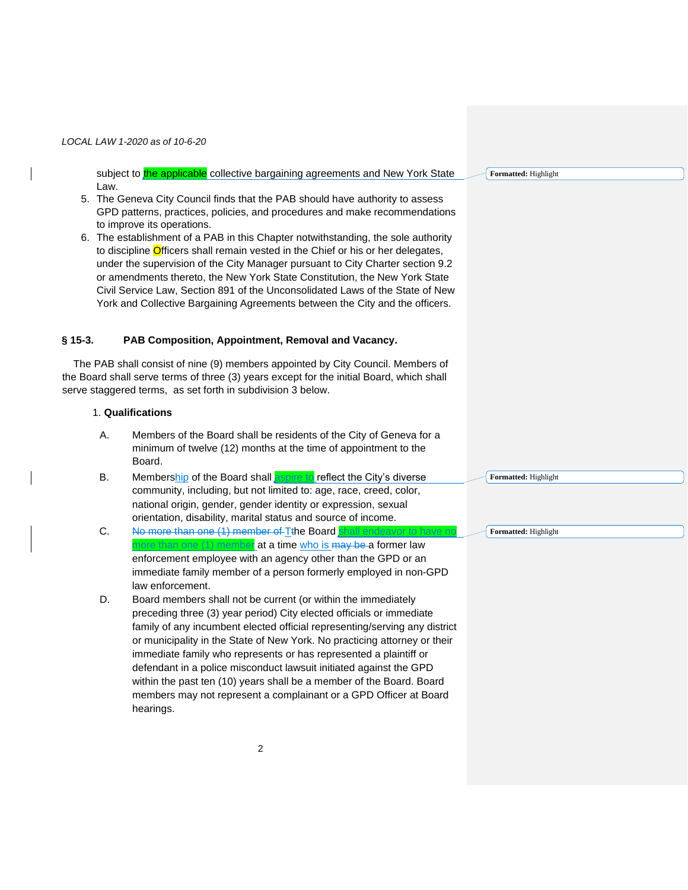subject to the applicable collective bargaining agreements and New York State Law.

- 5. The Geneva City Council finds that the PAB should have authority to assess GPD patterns, practices, policies, and procedures and make recommendations to improve its operations.
- 6. The establishment of a PAB in this Chapter notwithstanding, the sole authority to discipline Officers shall remain vested in the Chief or his or her delegates, under the supervision of the City Manager pursuant to City Charter section 9.2 or amendments thereto, the New York State Constitution, the New York State Civil Service Law, Section 891 of the Unconsolidated Laws of the State of New York and Collective Bargaining Agreements between the City and the officers.

# **§ 15-3. PAB Composition, Appointment, Removal and Vacancy.**

The PAB shall consist of nine (9) members appointed by City Council. Members of the Board shall serve terms of three (3) years except for the initial Board, which shall serve staggered terms, as set forth in subdivision 3 below.

# 1. **Qualifications**

- A. Members of the Board shall be residents of the City of Geneva for a minimum of twelve (12) months at the time of appointment to the Board.
- B. Membership of the Board shall **aspire to** reflect the City's diverse community, including, but not limited to: age, race, creed, color, national origin, gender, gender identity or expression, sexual orientation, disability, marital status and source of income.
- C. No more than one (1) member of T<sub>the Board</sub> shall endeave one (1) member at a time who is may be a former law enforcement employee with an agency other than the GPD or an immediate family member of a person formerly employed in non-GPD law enforcement.
- D. Board members shall not be current (or within the immediately preceding three (3) year period) City elected officials or immediate family of any incumbent elected official representing/serving any district or municipality in the State of New York. No practicing attorney or their immediate family who represents or has represented a plaintiff or defendant in a police misconduct lawsuit initiated against the GPD within the past ten (10) years shall be a member of the Board. Board members may not represent a complainant or a GPD Officer at Board hearings.

**Formatted:** Highlight

**Formatted:** Highlight

**Formatted:** Highlight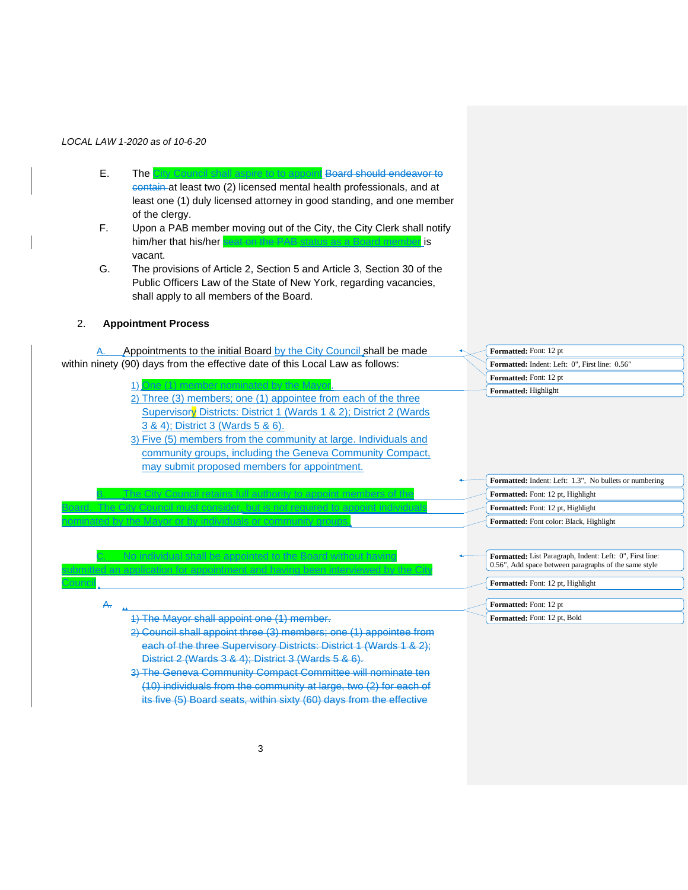- E. The City Council shall aspire to to appoint Board should endeavor to contain at least two (2) licensed mental health professionals, and at least one (1) duly licensed attorney in good standing, and one member of the clergy.
- F. Upon a PAB member moving out of the City, the City Clerk shall notify him/her that his/her seat on the PAB status as a Board member is vacant.
- G. The provisions of Article 2, Section 5 and Article 3, Section 30 of the Public Officers Law of the State of New York, regarding vacancies, shall apply to all members of the Board.

# 2. **Appointment Process**

**Council** 

A.

A. Appointments to the initial Board by the City Council shall be made within ninety (90) days from the effective date of this Local Law as follows:

- 1) One (1) member nominated by the Mayor. 2) Three (3) members; one (1) appointee from each of the three Supervisory Districts: District 1 (Wards 1 & 2); District 2 (Wards 3 & 4); District 3 (Wards 5 & 6).
- 3) Five (5) members from the community at large. Individuals and community groups, including the Geneva Community Compact, may submit proposed members for appointment.

B. The City Council retains full authority to appoint members of the Board. The City Council must consider, but is not required to appoint individuals

C. No individual shall be appointed to the Board without having submitted an application for appointment and having been interviewed by the City

| <b>Formatted:</b> Font: 12 pt                         |
|-------------------------------------------------------|
| <b>Formatted:</b> Indent: Left: 0", First line: 0.56" |
| <b>Formatted:</b> Font: 12 pt                         |
| <b>Formatted:</b> Highlight                           |

**Formatted:** Indent: Left: 1.3", No bullets or numbering **Formatted:** Font: 12 pt, Highlight **Formatted:** Font: 12 pt, Highlight **Formatted:** Font color: Black, Highlight

**Formatted:** List Paragraph, Indent: Left: 0", First line: 0.56", Add space between paragraphs of the same style

**Formatted:** Font: 12 pt, Highlight

#### **Formatted:** Font: 12 pt

**Formatted:** Font: 12 pt, Bold

1) The Mayor shall appoint one (1) member.

nominated by the Mayor or by individuals or community groups.

- 2) Council shall appoint three (3) members; one (1) appointee from each of the three Supervisory Districts: District 1 (Wards 1 & 2); District 2 (Wards 3 & 4); District 3 (Wards 5 & 6).
- 3) The Geneva Community Compact Committee will nominate ten (10) individuals from the community at large, two (2) for each of its five (5) Board seats, within sixty (60) days from the effective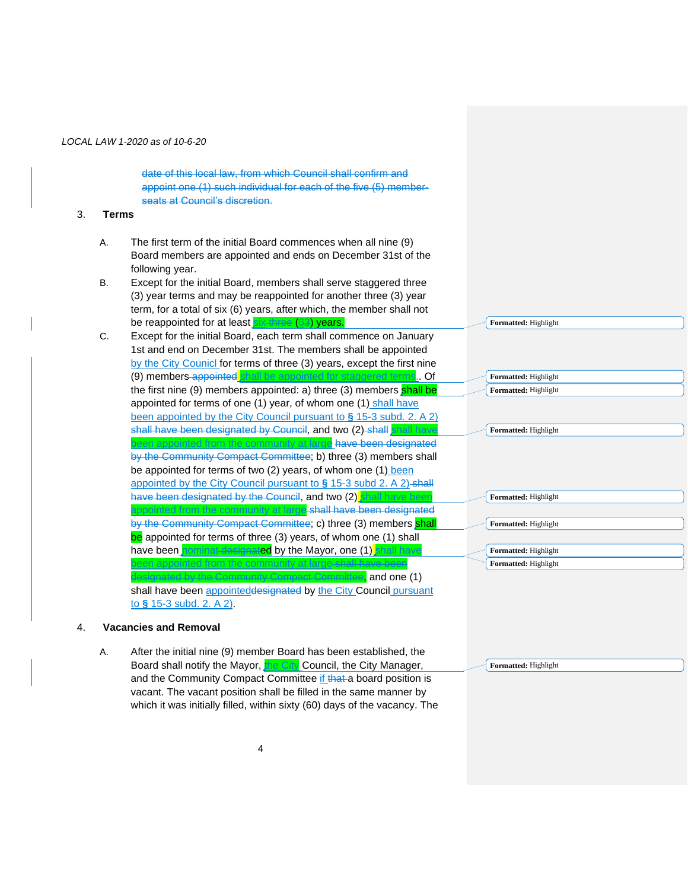date of this local law, from which Council shall confirm and appoint one (1) such individual for each of the five (5) memberseats at Council's discretion.

#### 3. **Terms**

- A. The first term of the initial Board commences when all nine (9) Board members are appointed and ends on December 31st of the following year.
- B. Except for the initial Board, members shall serve staggered three (3) year terms and may be reappointed for another three (3) year term, for a total of six (6) years, after which, the member shall not be reappointed for at least six three (63) years.

| C. | Except for the initial Board, each term shall commence on January<br>1st and end on December 31st. The members shall be appointed<br>by the City Counicl for terms of three (3) years, except the first nine<br>(9) members appointed shall be appointed for staggered terms Of                                   |
|----|-------------------------------------------------------------------------------------------------------------------------------------------------------------------------------------------------------------------------------------------------------------------------------------------------------------------|
|    | the first nine (9) members appointed: a) three (3) members shall be<br>appointed for terms of one (1) year, of whom one (1) shall have<br>been appointed by the City Council pursuant to $\S$ 15-3 subd. 2. A 2)<br>shall have been designated by Council, and two (2)-shall                                      |
|    | m the community at large have been designated<br>by the Community Compact Committee; b) three (3) members shall<br>be appointed for terms of two (2) years, of whom one (1) been<br>appointed by the City Council pursuant to $\S$ 15-3 subd 2. A 2)-shall<br>have been designated by the Council, and two (2) sh |
|    | unity at large shall have been design<br>by the Community Compact Committee; c) three (3) members shall<br>be appointed for terms of three (3) years, of whom one (1) shall<br><b>Hed</b> by the Mayor, one (1)<br>have been l                                                                                    |
|    | and one (1)                                                                                                                                                                                                                                                                                                       |

shall have been appointeddesignated by the City Council pursuant to **§** 15-3 subd. 2. A 2).

# 4. **Vacancies and Removal**

A. After the initial nine (9) member Board has been established, the Board shall notify the Mayor, the City Council, the City Manager, and the Community Compact Committee if that a board position is vacant. The vacant position shall be filled in the same manner by which it was initially filled, within sixty (60) days of the vacancy. The

**Formatted:** Highlight

**Formatted:** Highlight

**Formatted:** Highlight **Formatted:** Highlight

**Formatted:** Highlight

**Formatted:** Highlight **Formatted:** Highlight

**Formatted:** Highlight

**Formatted:** Highlight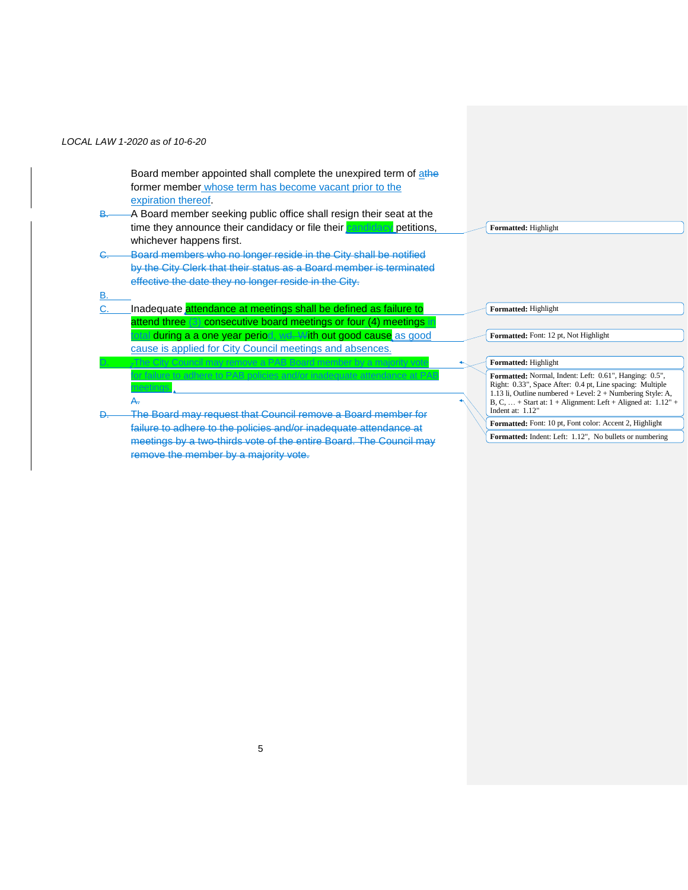B.

Board member appointed shall complete the unexpired term of athe former member whose term has become vacant prior to the expiration thereof.

- B. A Board member seeking public office shall resign their seat at the time they announce their candidacy or file their candidacy petitions, whichever happens first.
- C. Board members who no longer reside in the City shall be notified by the City Clerk that their status as a Board member is terminated effective the date they no longer reside in the City.
- C. **Inadequate** attendance at meetings shall be defined as failure to attend three (3) consecutive board meetings or four (4) meetings in tal during a a one year period, wd. With out good cause as good cause is applied for City Council meetings and absences.

**Formatted:** Highlight

City Council may remove for failure to adhere to PAB policies and/or inadequate attendance at PAB meetings. A. The Board may request that Council remove a Board member for failure to adhere to the policies and/or inadequate attendance at meetings by a two-thirds vote of the entire Board. The Council may remove the member by a majority vote. **Formatted:** Highlight **Formatted:** Font: 12 pt, Not Highlight **Formatted:** Highlight **Formatted:** Normal, Indent: Left: 0.61", Hanging: 0.5", Right: 0.33", Space After: 0.4 pt, Line spacing: Multiple 1.13 li, Outline numbered + Level: 2 + Numbering Style: A, B, C, … + Start at: 1 + Alignment: Left + Aligned at: 1.12" + Indent at: 1.12" **Formatted:** Font: 10 pt, Font color: Accent 2, Highlight **Formatted:** Indent: Left: 1.12", No bullets or numbering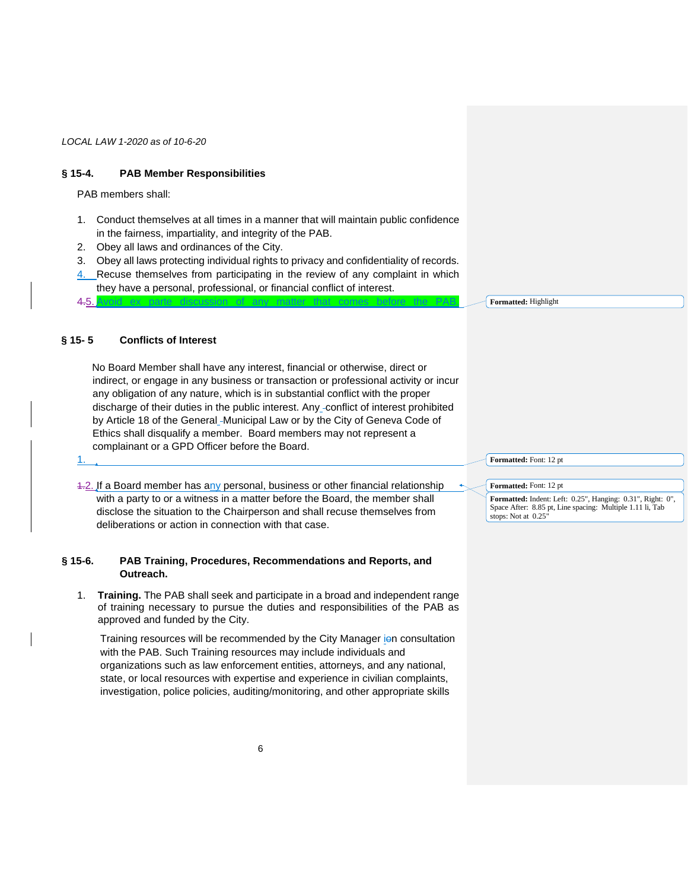# **§ 15-4. PAB Member Responsibilities**

PAB members shall:

- 1. Conduct themselves at all times in a manner that will maintain public confidence in the fairness, impartiality, and integrity of the PAB.
- 2. Obey all laws and ordinances of the City.
- 3. Obey all laws protecting individual rights to privacy and confidentiality of records.
- 4. Recuse themselves from participating in the review of any complaint in which they have a personal, professional, or financial conflict of interest.

4.5. Avoid ex parte discussion of any matter that comes before the PAB.

1.

# **§ 15- 5 Conflicts of Interest**

No Board Member shall have any interest, financial or otherwise, direct or indirect, or engage in any business or transaction or professional activity or incur any obligation of any nature, which is in substantial conflict with the proper discharge of their duties in the public interest. Any conflict of interest prohibited by Article 18 of the General-Municipal Law or by the City of Geneva Code of Ethics shall disqualify a member. Board members may not represent a complainant or a GPD Officer before the Board.

4.2. If a Board member has any personal, business or other financial relationship with a party to or a witness in a matter before the Board, the member shall disclose the situation to the Chairperson and shall recuse themselves from deliberations or action in connection with that case.

# **§ 15-6. PAB Training, Procedures, Recommendations and Reports, and Outreach.**

1. **Training.** The PAB shall seek and participate in a broad and independent range of training necessary to pursue the duties and responsibilities of the PAB as approved and funded by the City.

Training resources will be recommended by the City Manager jon consultation with the PAB. Such Training resources may include individuals and organizations such as law enforcement entities, attorneys, and any national, state, or local resources with expertise and experience in civilian complaints, investigation, police policies, auditing/monitoring, and other appropriate skills

**Formatted:** Highlight

**Formatted:** Font: 12 pt

**Formatted:** Font: 12 pt

**Formatted:** Indent: Left: 0.25", Hanging: 0.31", Right: 0", Space After: 8.85 pt, Line spacing: Multiple 1.11 li, Tab stops: Not at 0.25"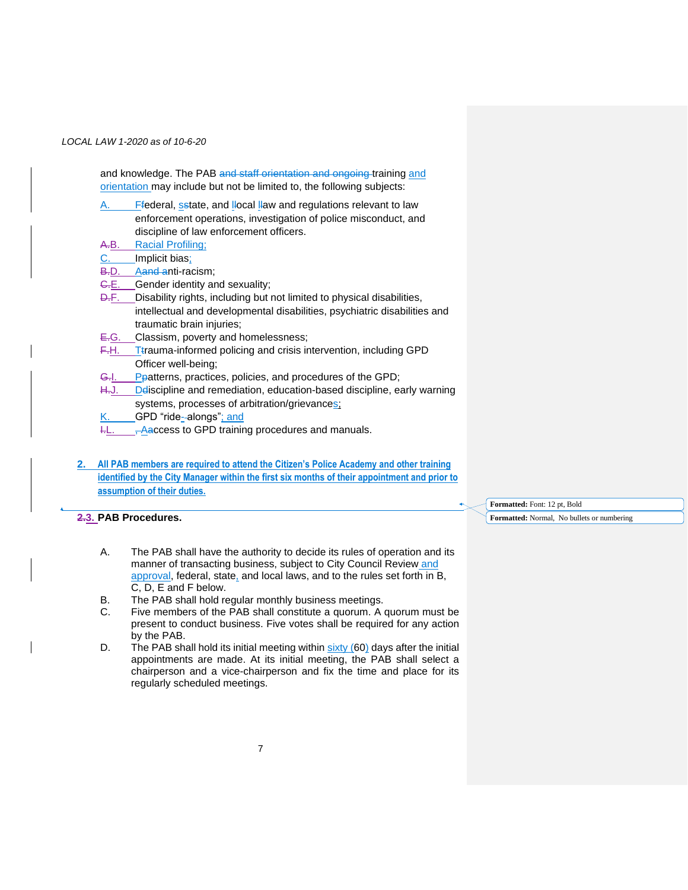and knowledge. The PAB and staff orientation and ongoing training and orientation may include but not be limited to, the following subjects:

- A. Ffederal, setate, and llocal llaw and regulations relevant to law enforcement operations, investigation of police misconduct, and discipline of law enforcement officers.
- A.B. Racial Profiling;
- C. Implicit bias;
- B.D. Aand anti-racism;
- G.E. Gender identity and sexuality;
- D.F. Disability rights, including but not limited to physical disabilities, intellectual and developmental disabilities, psychiatric disabilities and traumatic brain injuries;
- E.G. Classism, poverty and homelessness;
- F.H. T<sup>trauma-informed policing and crisis intervention, including GPD</sup> Officer well-being;
- G.I. Ppatterns, practices, policies, and procedures of the GPD;
- H.J. Deliscipline and remediation, education-based discipline, early warning systems, processes of arbitration/grievances;
- GPD "ride--alongs"; and
- $H.$   $H.$   $H.$   $\rightarrow$  Aaccess to GPD training procedures and manuals.
- **2. All PAB members are required to attend the Citizen's Police Academy and other training identified by the City Manager within the first six months of their appointment and prior to assumption of their duties.**

# **2.3. PAB Procedures.**

- A. The PAB shall have the authority to decide its rules of operation and its manner of transacting business, subject to City Council Review and approval, federal, state, and local laws, and to the rules set forth in B, C, D, E and F below.
- B. The PAB shall hold regular monthly business meetings.
- C. Five members of the PAB shall constitute a quorum. A quorum must be present to conduct business. Five votes shall be required for any action by the PAB.
- D. The PAB shall hold its initial meeting within  $sixty$  (60) days after the initial appointments are made. At its initial meeting, the PAB shall select a chairperson and a vice-chairperson and fix the time and place for its regularly scheduled meetings.

**Formatted:** Font: 12 pt, Bold

**Formatted:** Normal, No bullets or numbering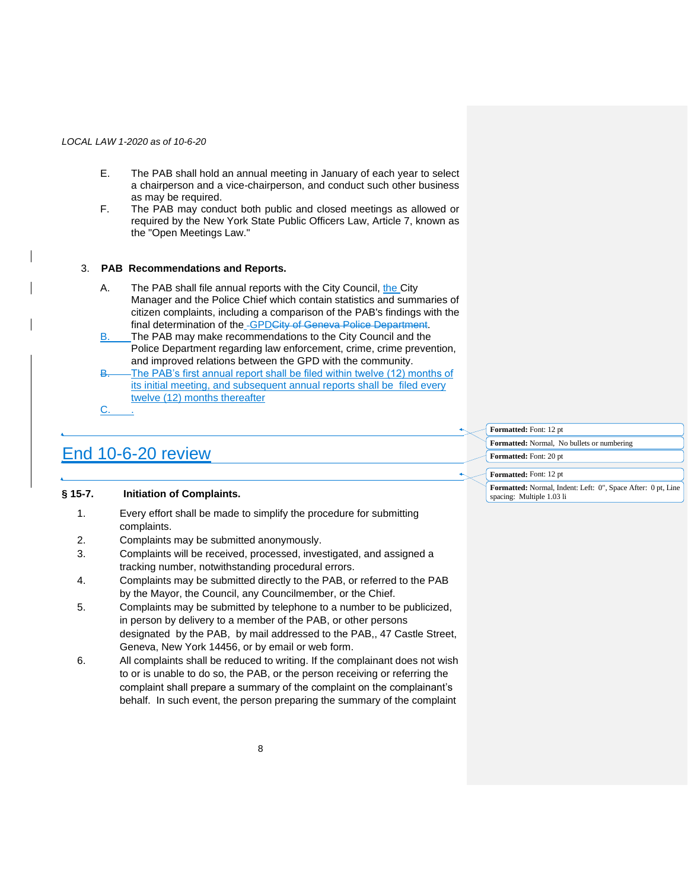- E. The PAB shall hold an annual meeting in January of each year to select a chairperson and a vice-chairperson, and conduct such other business as may be required.
- F. The PAB may conduct both public and closed meetings as allowed or required by the New York State Public Officers Law, Article 7, known as the "Open Meetings Law."

## 3. **PAB Recommendations and Reports.**

- A. The PAB shall file annual reports with the City Council, the City Manager and the Police Chief which contain statistics and summaries of citizen complaints, including a comparison of the PAB's findings with the final determination of the GPDCity of Geneva Police Department.
- B. The PAB may make recommendations to the City Council and the Police Department regarding law enforcement, crime, crime prevention, and improved relations between the GPD with the community.
- B. The PAB's first annual report shall be filed within twelve (12) months of its initial meeting, and subsequent annual reports shall be filed every twelve (12) months thereafter C. .

# End 10-6-20 review

**Formatted:** Font: 12 pt

**Formatted:** Font: 12 pt

**Formatted:** Normal, No bullets or numbering **Formatted:** Font: 20 pt

# **§ 15-7. Initiation of Complaints.**

- 1. Every effort shall be made to simplify the procedure for submitting complaints.
- 2. Complaints may be submitted anonymously.
- 3. Complaints will be received, processed, investigated, and assigned a tracking number, notwithstanding procedural errors.
- 4. Complaints may be submitted directly to the PAB, or referred to the PAB by the Mayor, the Council, any Councilmember, or the Chief.
- 5. Complaints may be submitted by telephone to a number to be publicized, in person by delivery to a member of the PAB, or other persons designated by the PAB, by mail addressed to the PAB,, 47 Castle Street, Geneva, New York 14456, or by email or web form.
- 6. All complaints shall be reduced to writing. If the complainant does not wish to or is unable to do so, the PAB, or the person receiving or referring the complaint shall prepare a summary of the complaint on the complainant's behalf. In such event, the person preparing the summary of the complaint

**Formatted:** Normal, Indent: Left: 0", Space After: 0 pt, Line spacing: Multiple 1.03 li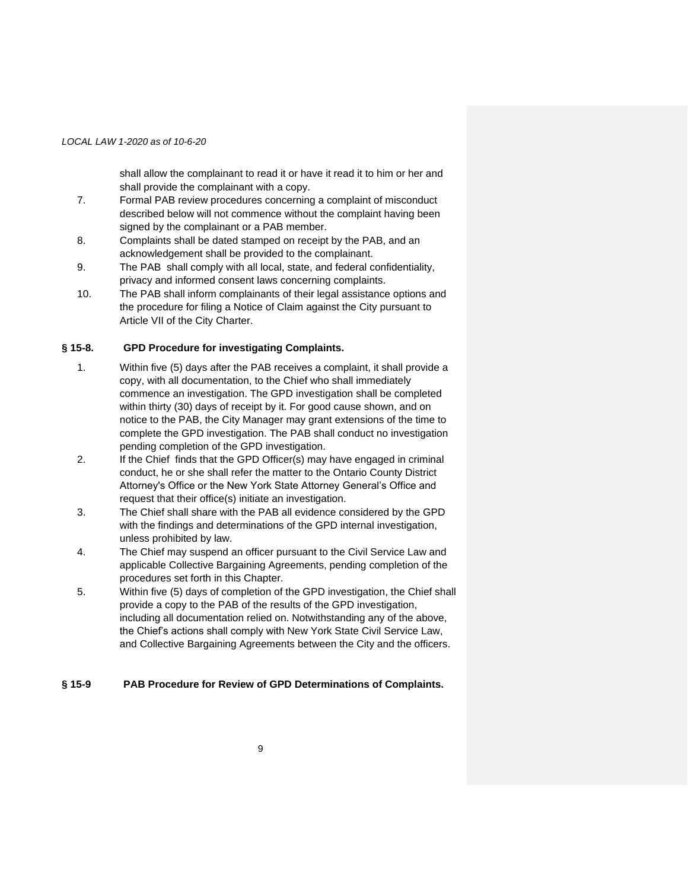shall allow the complainant to read it or have it read it to him or her and shall provide the complainant with a copy.

- 7. Formal PAB review procedures concerning a complaint of misconduct described below will not commence without the complaint having been signed by the complainant or a PAB member.
- 8. Complaints shall be dated stamped on receipt by the PAB, and an acknowledgement shall be provided to the complainant.
- 9. The PAB shall comply with all local, state, and federal confidentiality, privacy and informed consent laws concerning complaints.
- 10. The PAB shall inform complainants of their legal assistance options and the procedure for filing a Notice of Claim against the City pursuant to Article VII of the City Charter.

## **§ 15-8. GPD Procedure for investigating Complaints.**

- 1. Within five (5) days after the PAB receives a complaint, it shall provide a copy, with all documentation, to the Chief who shall immediately commence an investigation. The GPD investigation shall be completed within thirty (30) days of receipt by it. For good cause shown, and on notice to the PAB, the City Manager may grant extensions of the time to complete the GPD investigation. The PAB shall conduct no investigation pending completion of the GPD investigation.
- 2. If the Chief finds that the GPD Officer(s) may have engaged in criminal conduct, he or she shall refer the matter to the Ontario County District Attorney's Office or the New York State Attorney General's Office and request that their office(s) initiate an investigation.
- 3. The Chief shall share with the PAB all evidence considered by the GPD with the findings and determinations of the GPD internal investigation, unless prohibited by law.
- 4. The Chief may suspend an officer pursuant to the Civil Service Law and applicable Collective Bargaining Agreements, pending completion of the procedures set forth in this Chapter.
- 5. Within five (5) days of completion of the GPD investigation, the Chief shall provide a copy to the PAB of the results of the GPD investigation, including all documentation relied on. Notwithstanding any of the above, the Chief's actions shall comply with New York State Civil Service Law, and Collective Bargaining Agreements between the City and the officers.

# **§ 15-9 PAB Procedure for Review of GPD Determinations of Complaints.**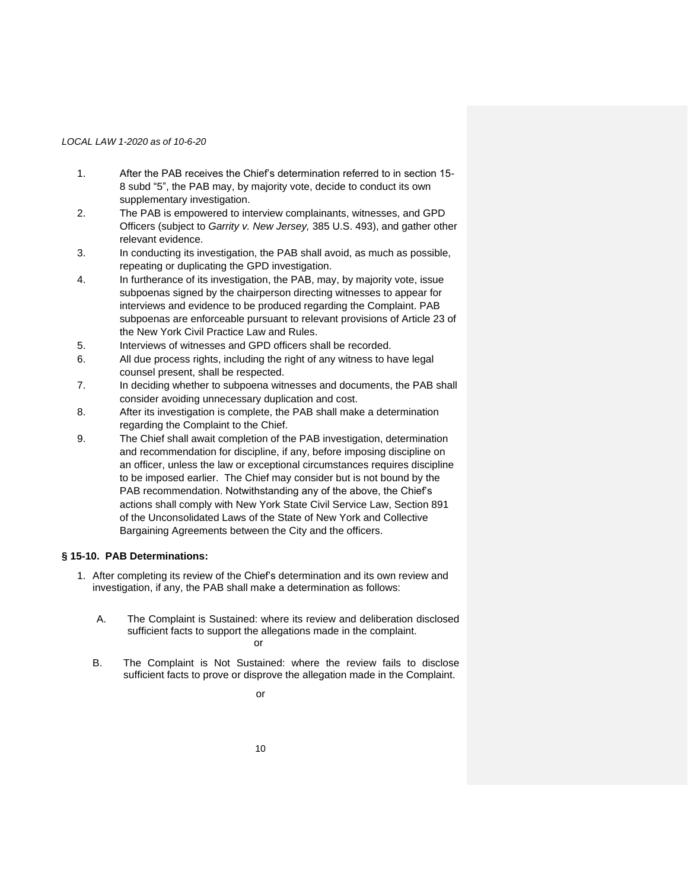- 1. After the PAB receives the Chief's determination referred to in section 15- 8 subd "5", the PAB may, by majority vote, decide to conduct its own supplementary investigation.
- 2. The PAB is empowered to interview complainants, witnesses, and GPD Officers (subject to *Garrity v. New Jersey,* 385 U.S. 493), and gather other relevant evidence.
- 3. In conducting its investigation, the PAB shall avoid, as much as possible, repeating or duplicating the GPD investigation.
- 4. In furtherance of its investigation, the PAB, may, by majority vote, issue subpoenas signed by the chairperson directing witnesses to appear for interviews and evidence to be produced regarding the Complaint. PAB subpoenas are enforceable pursuant to relevant provisions of Article 23 of the New York Civil Practice Law and Rules.
- 5. Interviews of witnesses and GPD officers shall be recorded.
- 6. All due process rights, including the right of any witness to have legal counsel present, shall be respected.
- 7. In deciding whether to subpoena witnesses and documents, the PAB shall consider avoiding unnecessary duplication and cost.
- 8. After its investigation is complete, the PAB shall make a determination regarding the Complaint to the Chief.
- 9. The Chief shall await completion of the PAB investigation, determination and recommendation for discipline, if any, before imposing discipline on an officer, unless the law or exceptional circumstances requires discipline to be imposed earlier. The Chief may consider but is not bound by the PAB recommendation. Notwithstanding any of the above, the Chief's actions shall comply with New York State Civil Service Law, Section 891 of the Unconsolidated Laws of the State of New York and Collective Bargaining Agreements between the City and the officers.

# **§ 15-10. PAB Determinations:**

- 1. After completing its review of the Chief's determination and its own review and investigation, if any, the PAB shall make a determination as follows:
	- A. The Complaint is Sustained: where its review and deliberation disclosed sufficient facts to support the allegations made in the complaint. or
	- B. The Complaint is Not Sustained: where the review fails to disclose sufficient facts to prove or disprove the allegation made in the Complaint.

or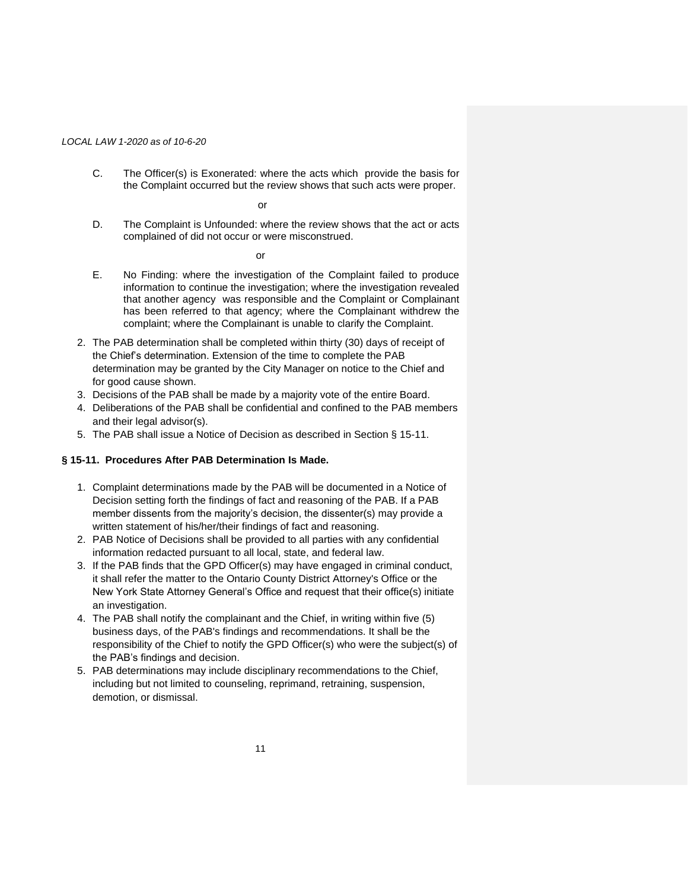C. The Officer(s) is Exonerated: where the acts which provide the basis for the Complaint occurred but the review shows that such acts were proper.

or

D. The Complaint is Unfounded: where the review shows that the act or acts complained of did not occur or were misconstrued.

or

- E. No Finding: where the investigation of the Complaint failed to produce information to continue the investigation; where the investigation revealed that another agency was responsible and the Complaint or Complainant has been referred to that agency; where the Complainant withdrew the complaint; where the Complainant is unable to clarify the Complaint.
- 2. The PAB determination shall be completed within thirty (30) days of receipt of the Chief's determination. Extension of the time to complete the PAB determination may be granted by the City Manager on notice to the Chief and for good cause shown.
- 3. Decisions of the PAB shall be made by a majority vote of the entire Board.
- 4. Deliberations of the PAB shall be confidential and confined to the PAB members and their legal advisor(s).
- 5. The PAB shall issue a Notice of Decision as described in Section § 15-11.

# **§ 15-11. Procedures After PAB Determination Is Made.**

- 1. Complaint determinations made by the PAB will be documented in a Notice of Decision setting forth the findings of fact and reasoning of the PAB. If a PAB member dissents from the majority's decision, the dissenter(s) may provide a written statement of his/her/their findings of fact and reasoning.
- 2. PAB Notice of Decisions shall be provided to all parties with any confidential information redacted pursuant to all local, state, and federal law.
- 3. If the PAB finds that the GPD Officer(s) may have engaged in criminal conduct, it shall refer the matter to the Ontario County District Attorney's Office or the New York State Attorney General's Office and request that their office(s) initiate an investigation.
- 4. The PAB shall notify the complainant and the Chief, in writing within five (5) business days, of the PAB's findings and recommendations. It shall be the responsibility of the Chief to notify the GPD Officer(s) who were the subject(s) of the PAB's findings and decision.
- 5. PAB determinations may include disciplinary recommendations to the Chief, including but not limited to counseling, reprimand, retraining, suspension, demotion, or dismissal.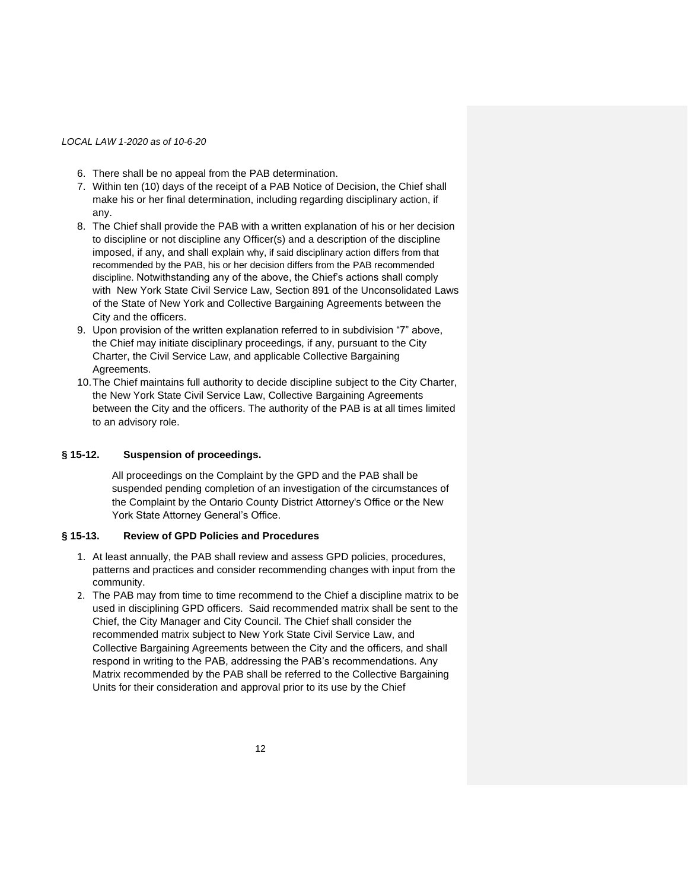- 6. There shall be no appeal from the PAB determination.
- 7. Within ten (10) days of the receipt of a PAB Notice of Decision, the Chief shall make his or her final determination, including regarding disciplinary action, if any.
- 8. The Chief shall provide the PAB with a written explanation of his or her decision to discipline or not discipline any Officer(s) and a description of the discipline imposed, if any, and shall explain why, if said disciplinary action differs from that recommended by the PAB, his or her decision differs from the PAB recommended discipline. Notwithstanding any of the above, the Chief's actions shall comply with New York State Civil Service Law, Section 891 of the Unconsolidated Laws of the State of New York and Collective Bargaining Agreements between the City and the officers.
- 9. Upon provision of the written explanation referred to in subdivision "7" above, the Chief may initiate disciplinary proceedings, if any, pursuant to the City Charter, the Civil Service Law, and applicable Collective Bargaining Agreements.
- 10.The Chief maintains full authority to decide discipline subject to the City Charter, the New York State Civil Service Law, Collective Bargaining Agreements between the City and the officers. The authority of the PAB is at all times limited to an advisory role.

# **§ 15-12. Suspension of proceedings.**

All proceedings on the Complaint by the GPD and the PAB shall be suspended pending completion of an investigation of the circumstances of the Complaint by the Ontario County District Attorney's Office or the New York State Attorney General's Office.

## **§ 15-13. Review of GPD Policies and Procedures**

- 1. At least annually, the PAB shall review and assess GPD policies, procedures, patterns and practices and consider recommending changes with input from the community.
- 2. The PAB may from time to time recommend to the Chief a discipline matrix to be used in disciplining GPD officers. Said recommended matrix shall be sent to the Chief, the City Manager and City Council. The Chief shall consider the recommended matrix subject to New York State Civil Service Law, and Collective Bargaining Agreements between the City and the officers, and shall respond in writing to the PAB, addressing the PAB's recommendations. Any Matrix recommended by the PAB shall be referred to the Collective Bargaining Units for their consideration and approval prior to its use by the Chief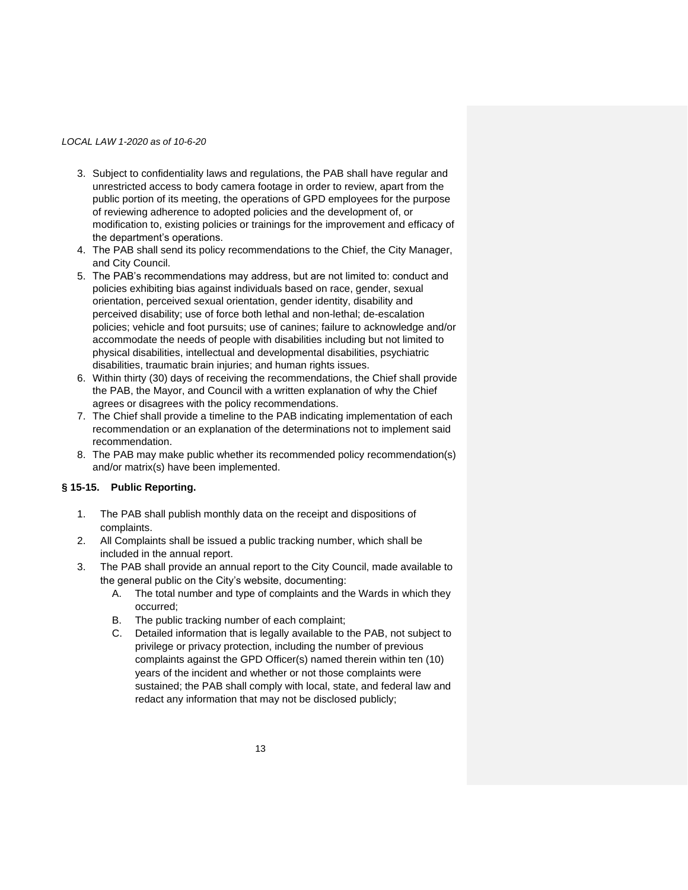- 3. Subject to confidentiality laws and regulations, the PAB shall have regular and unrestricted access to body camera footage in order to review, apart from the public portion of its meeting, the operations of GPD employees for the purpose of reviewing adherence to adopted policies and the development of, or modification to, existing policies or trainings for the improvement and efficacy of the department's operations.
- 4. The PAB shall send its policy recommendations to the Chief, the City Manager, and City Council.
- 5. The PAB's recommendations may address, but are not limited to: conduct and policies exhibiting bias against individuals based on race, gender, sexual orientation, perceived sexual orientation, gender identity, disability and perceived disability; use of force both lethal and non-lethal; de-escalation policies; vehicle and foot pursuits; use of canines; failure to acknowledge and/or accommodate the needs of people with disabilities including but not limited to physical disabilities, intellectual and developmental disabilities, psychiatric disabilities, traumatic brain injuries; and human rights issues.
- 6. Within thirty (30) days of receiving the recommendations, the Chief shall provide the PAB, the Mayor, and Council with a written explanation of why the Chief agrees or disagrees with the policy recommendations.
- 7. The Chief shall provide a timeline to the PAB indicating implementation of each recommendation or an explanation of the determinations not to implement said recommendation.
- 8. The PAB may make public whether its recommended policy recommendation(s) and/or matrix(s) have been implemented.

# **§ 15-15. Public Reporting.**

- 1. The PAB shall publish monthly data on the receipt and dispositions of complaints.
- 2. All Complaints shall be issued a public tracking number, which shall be included in the annual report.
- 3. The PAB shall provide an annual report to the City Council, made available to the general public on the City's website, documenting:
	- A. The total number and type of complaints and the Wards in which they occurred;
	- B. The public tracking number of each complaint;
	- C. Detailed information that is legally available to the PAB, not subject to privilege or privacy protection, including the number of previous complaints against the GPD Officer(s) named therein within ten (10) years of the incident and whether or not those complaints were sustained; the PAB shall comply with local, state, and federal law and redact any information that may not be disclosed publicly;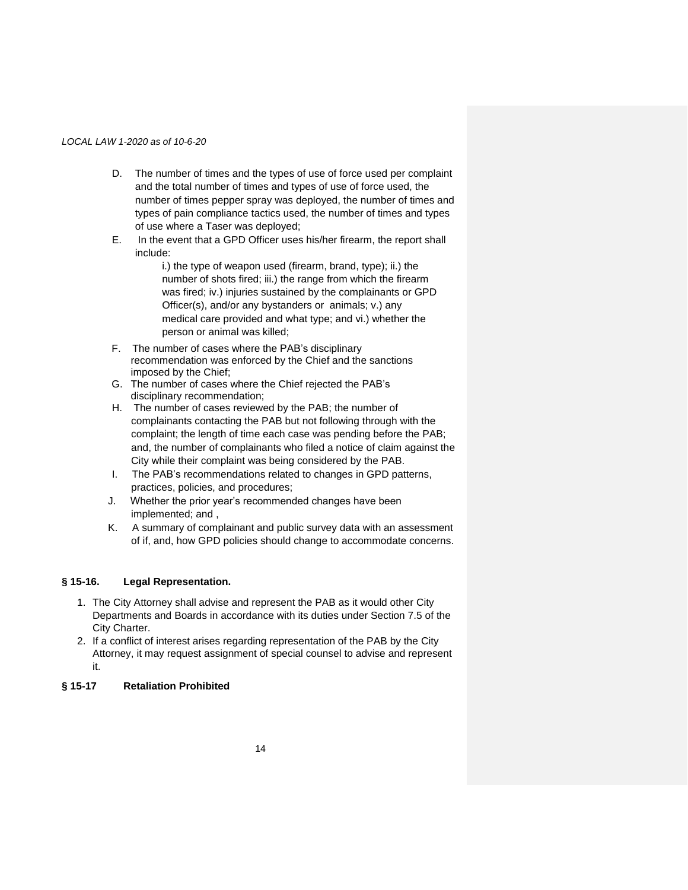- D. The number of times and the types of use of force used per complaint and the total number of times and types of use of force used, the number of times pepper spray was deployed, the number of times and types of pain compliance tactics used, the number of times and types of use where a Taser was deployed;
- E. In the event that a GPD Officer uses his/her firearm, the report shall include:

i.) the type of weapon used (firearm, brand, type); ii.) the number of shots fired; iii.) the range from which the firearm was fired; iv.) injuries sustained by the complainants or GPD Officer(s), and/or any bystanders or animals; v.) any medical care provided and what type; and vi.) whether the person or animal was killed;

- F. The number of cases where the PAB's disciplinary recommendation was enforced by the Chief and the sanctions imposed by the Chief;
- G. The number of cases where the Chief rejected the PAB's disciplinary recommendation;
- H. The number of cases reviewed by the PAB; the number of complainants contacting the PAB but not following through with the complaint; the length of time each case was pending before the PAB; and, the number of complainants who filed a notice of claim against the City while their complaint was being considered by the PAB.
- I. The PAB's recommendations related to changes in GPD patterns, practices, policies, and procedures;
- J. Whether the prior year's recommended changes have been implemented; and ,
- K. A summary of complainant and public survey data with an assessment of if, and, how GPD policies should change to accommodate concerns.

# **§ 15-16. Legal Representation.**

- 1. The City Attorney shall advise and represent the PAB as it would other City Departments and Boards in accordance with its duties under Section 7.5 of the City Charter.
- 2. If a conflict of interest arises regarding representation of the PAB by the City Attorney, it may request assignment of special counsel to advise and represent it.

# **§ 15-17 Retaliation Prohibited**